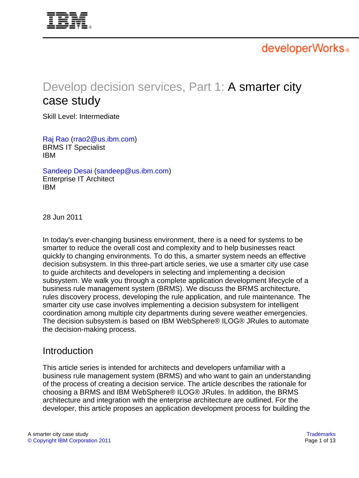<span id="page-0-0"></span>

developerWorks.

# Develop decision services, Part 1: A smarter city case study

Skill Level: Intermediate

[Raj Rao](#page-12-0) ([rrao2@us.ibm.com](mailto:rrao2@us.ibm.com)) BRMS IT Specialist IBM

[Sandeep Desai](#page-12-0) [\(sandeep@us.ibm.com\)](mailto:sandeep@us.ibm.com) Enterprise IT Architect IBM

28 Jun 2011

In today's ever-changing business environment, there is a need for systems to be smarter to reduce the overall cost and complexity and to help businesses react quickly to changing environments. To do this, a smarter system needs an effective decision subsystem. In this three-part article series, we use a smarter city use case to guide architects and developers in selecting and implementing a decision subsystem. We walk you through a complete application development lifecycle of a business rule management system (BRMS). We discuss the BRMS architecture, rules discovery process, developing the rule application, and rule maintenance. The smarter city use case involves implementing a decision subsystem for intelligent coordination among multiple city departments during severe weather emergencies. The decision subsystem is based on IBM WebSphere® ILOG® JRules to automate the decision-making process.

### **Introduction**

This article series is intended for architects and developers unfamiliar with a business rule management system (BRMS) and who want to gain an understanding of the process of creating a decision service. The article describes the rationale for choosing a BRMS and IBM WebSphere® ILOG® JRules. In addition, the BRMS architecture and integration with the enterprise architecture are outlined. For the developer, this article proposes an application development process for building the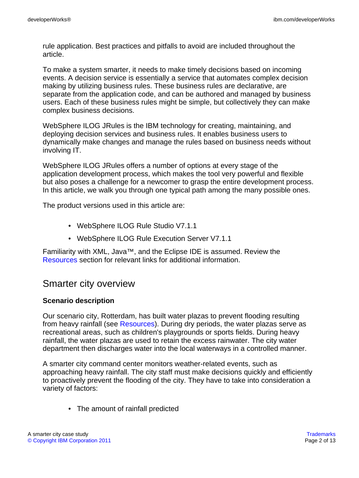rule application. Best practices and pitfalls to avoid are included throughout the article.

To make a system smarter, it needs to make timely decisions based on incoming events. A decision service is essentially a service that automates complex decision making by utilizing business rules. These business rules are declarative, are separate from the application code, and can be authored and managed by business users. Each of these business rules might be simple, but collectively they can make complex business decisions.

WebSphere ILOG JRules is the IBM technology for creating, maintaining, and deploying decision services and business rules. It enables business users to dynamically make changes and manage the rules based on business needs without involving IT.

WebSphere ILOG JRules offers a number of options at every stage of the application development process, which makes the tool very powerful and flexible but also poses a challenge for a newcomer to grasp the entire development process. In this article, we walk you through one typical path among the many possible ones.

The product versions used in this article are:

- WebSphere ILOG Rule Studio V7.1.1
- WebSphere ILOG Rule Execution Server V7.1.1

Familiarity with XML, Java™, and the Eclipse IDE is assumed. Review the [Resources](#page-11-0) section for relevant links for additional information.

### Smarter city overview

### **Scenario description**

Our scenario city, Rotterdam, has built water plazas to prevent flooding resulting from heavy rainfall (see [Resources](#page-11-0)). During dry periods, the water plazas serve as recreational areas, such as children's playgrounds or sports fields. During heavy rainfall, the water plazas are used to retain the excess rainwater. The city water department then discharges water into the local waterways in a controlled manner.

A smarter city command center monitors weather-related events, such as approaching heavy rainfall. The city staff must make decisions quickly and efficiently to proactively prevent the flooding of the city. They have to take into consideration a variety of factors:

• The amount of rainfall predicted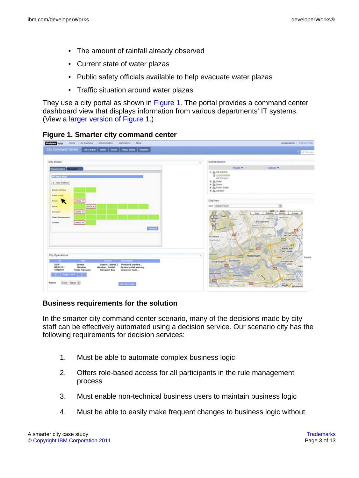- The amount of rainfall already observed
- Current state of water plazas
- Public safety officials available to help evacuate water plazas
- Traffic situation around water plazas

They use a city portal as shown in [Figure 1.](#page-2-0) The portal provides a command center dashboard view that displays information from various departments' IT systems. (View a [larger version of Figure 1.](sidefile-figure1lrg.html))



### <span id="page-2-0"></span>**Figure 1. Smarter city command center**

### **Business requirements for the solution**

In the smarter city command center scenario, many of the decisions made by city staff can be effectively automated using a decision service. Our scenario city has the following requirements for decision services:

- 1. Must be able to automate complex business logic
- 2. Offers role-based access for all participants in the rule management process
- 3. Must enable non-technical business users to maintain business logic
- 4. Must be able to easily make frequent changes to business logic without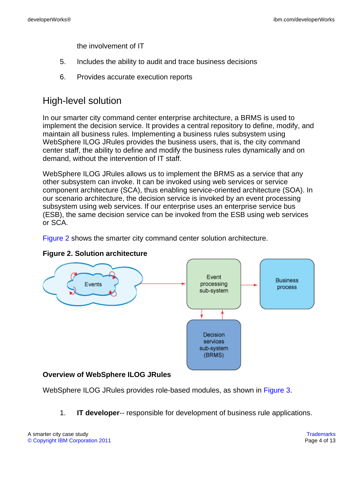the involvement of IT

- 5. Includes the ability to audit and trace business decisions
- 6. Provides accurate execution reports

### High-level solution

In our smarter city command center enterprise architecture, a BRMS is used to implement the decision service. It provides a central repository to define, modify, and maintain all business rules. Implementing a business rules subsystem using WebSphere ILOG JRules provides the business users, that is, the city command center staff, the ability to define and modify the business rules dynamically and on demand, without the intervention of IT staff.

WebSphere ILOG JRules allows us to implement the BRMS as a service that any other subsystem can invoke. It can be invoked using web services or service component architecture (SCA), thus enabling service-oriented architecture (SOA). In our scenario architecture, the decision service is invoked by an event processing subsystem using web services. If our enterprise uses an enterprise service bus (ESB), the same decision service can be invoked from the ESB using web services or SCA.

[Figure 2](#page-3-0) shows the smarter city command center solution architecture.



### <span id="page-3-0"></span>**Figure 2. Solution architecture**

### **Overview of WebSphere ILOG JRules**

WebSphere ILOG JRules provides role-based modules, as shown in [Figure 3](#page-4-0).

1. **IT developer**-- responsible for development of business rule applications.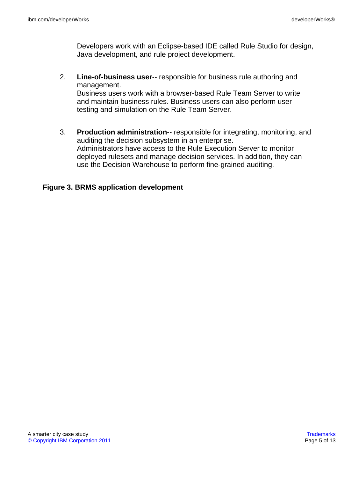Developers work with an Eclipse-based IDE called Rule Studio for design, Java development, and rule project development.

- 2. **Line-of-business user**-- responsible for business rule authoring and management. Business users work with a browser-based Rule Team Server to write and maintain business rules. Business users can also perform user testing and simulation on the Rule Team Server.
- 3. **Production administration**-- responsible for integrating, monitoring, and auditing the decision subsystem in an enterprise. Administrators have access to the Rule Execution Server to monitor deployed rulesets and manage decision services. In addition, they can use the Decision Warehouse to perform fine-grained auditing.

### <span id="page-4-0"></span>**Figure 3. BRMS application development**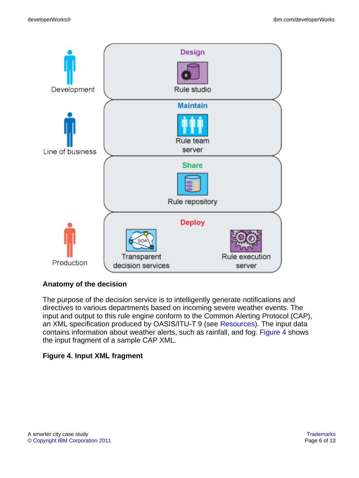

### **Anatomy of the decision**

The purpose of the decision service is to intelligently generate notifications and directives to various departments based on incoming severe weather events. The input and output to this rule engine conform to the Common Alerting Protocol (CAP), an XML specification produced by OASIS/ITU-T 9 (see [Resources](#page-11-0)). The input data contains information about weather alerts, such as rainfall, and fog. [Figure 4](#page-5-0) shows the input fragment of a sample CAP XML.

### <span id="page-5-0"></span>**Figure 4. Input XML fragment**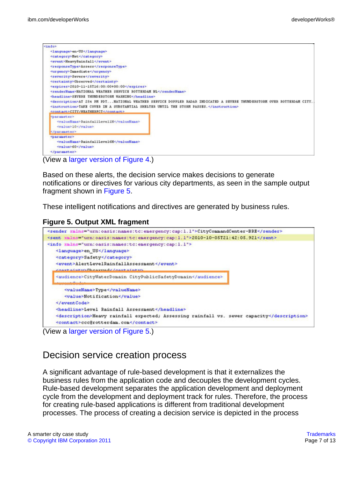| <info></info>                                                                                                      |  |  |  |  |
|--------------------------------------------------------------------------------------------------------------------|--|--|--|--|
| <language>en-US</language>                                                                                         |  |  |  |  |
| <category>Net</category>                                                                                           |  |  |  |  |
| <event>HeavyRainfall</event>                                                                                       |  |  |  |  |
| <responsetype>Assess</responsetype>                                                                                |  |  |  |  |
|                                                                                                                    |  |  |  |  |
| <severity>Severe</severity>                                                                                        |  |  |  |  |
| <certainty>Observed</certainty>                                                                                    |  |  |  |  |
| <expires>2010-11-15T16:00:00+00:00</expires>                                                                       |  |  |  |  |
| <sendername>NATIONAL WEATHER SERVICE ROTTERDAM NL</sendername><br><headline>SEVERE THUMDERSTORM WARNING</headline> |  |  |  |  |
|                                                                                                                    |  |  |  |  |
| <instruction>TAKE COVER IN A SUBSTANTIAL SHELTER UNTIL THE STORM PASSES.</instruction>                             |  |  |  |  |
| <contact>CITY/WEATHERFCT</contact>                                                                                 |  |  |  |  |
| <parameter></parameter>                                                                                            |  |  |  |  |
|                                                                                                                    |  |  |  |  |
| <value>10</value>                                                                                                  |  |  |  |  |
|                                                                                                                    |  |  |  |  |
| <parameter></parameter>                                                                                            |  |  |  |  |
| <valuename>RainfallLevel6H</valuename>                                                                             |  |  |  |  |
| <value>60</value>                                                                                                  |  |  |  |  |
|                                                                                                                    |  |  |  |  |

Based on these alerts, the decision service makes decisions to generate notifications or directives for various city departments, as seen in the sample output fragment shown in [Figure 5](#page-6-0).

These intelligent notifications and directives are generated by business rules.

#### <span id="page-6-0"></span>**Figure 5. Output XML fragment**



(View a [larger version of Figure 5.](sidefile-figure5lrg.html))

### Decision service creation process

A significant advantage of rule-based development is that it externalizes the business rules from the application code and decouples the development cycles. Rule-based development separates the application development and deployment cycle from the development and deployment track for rules. Therefore, the process for creating rule-based applications is different from traditional development processes. The process of creating a decision service is depicted in the process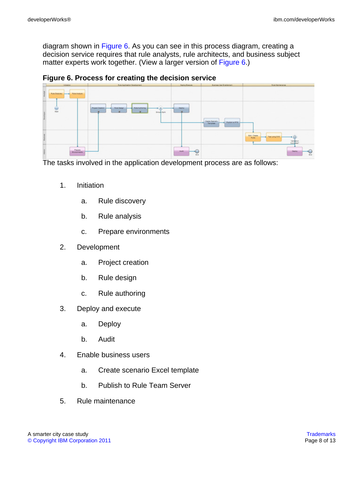diagram shown in [Figure 6](#page-7-0). As you can see in this process diagram, creating a decision service requires that rule analysts, rule architects, and business subject matter experts work together. (View a larger version of [Figure 6.](sidefile-figure6lrg.html))

<span id="page-7-0"></span>**Figure 6. Process for creating the decision service**

| <b>Interior</b>       | <b>Rule Application Development</b>                                                                                                 | <b>Design Evenue</b>                         | <b>Business clear Engineering</b>                | <b>Rule Steinbriefer</b>                                                   |
|-----------------------|-------------------------------------------------------------------------------------------------------------------------------------|----------------------------------------------|--------------------------------------------------|----------------------------------------------------------------------------|
|                       |                                                                                                                                     |                                              |                                                  |                                                                            |
| 븦                     | -----------<br>---------<br>---------<br><b>Rule Design.</b><br><b>Rule Authority</b><br><b>B.</b><br>1.11<br>Smyle Spin<br>------- | ----------------<br>Dealer.<br>$\sim$ $\sim$ | Geate Sourants<br>$-$ Publish to RTS<br>Template |                                                                            |
|                       |                                                                                                                                     |                                              |                                                  | 2000<br><b>Bill Dam</b><br>Textuary PVS<br>+ 0<br><b>Bullet</b><br>Talebox |
| Paper.<br>Endeanmarks |                                                                                                                                     | <b>Callenge</b><br>Audit.<br>$\cdot$         |                                                  | Dealer.<br>J.                                                              |

The tasks involved in the application development process are as follows:

- 1. Initiation
	- a. Rule discovery
	- b. Rule analysis
	- c. Prepare environments
- 2. Development
	- a. Project creation
	- b. Rule design
	- c. Rule authoring
- 3. Deploy and execute
	- a. Deploy
	- b. Audit
- 4. Enable business users
	- a. Create scenario Excel template
	- b. Publish to Rule Team Server
- 5. Rule maintenance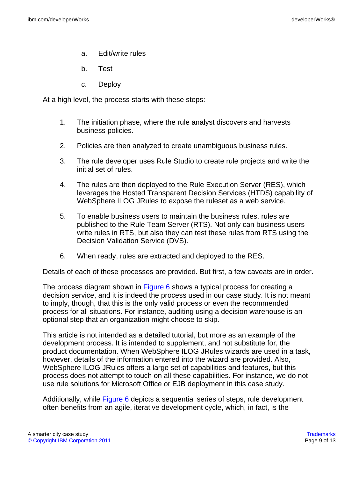- a. Edit/write rules
- b. Test
- c. Deploy

At a high level, the process starts with these steps:

- 1. The initiation phase, where the rule analyst discovers and harvests business policies.
- 2. Policies are then analyzed to create unambiguous business rules.
- 3. The rule developer uses Rule Studio to create rule projects and write the initial set of rules.
- 4. The rules are then deployed to the Rule Execution Server (RES), which leverages the Hosted Transparent Decision Services (HTDS) capability of WebSphere ILOG JRules to expose the ruleset as a web service.
- 5. To enable business users to maintain the business rules, rules are published to the Rule Team Server (RTS). Not only can business users write rules in RTS, but also they can test these rules from RTS using the Decision Validation Service (DVS).
- 6. When ready, rules are extracted and deployed to the RES.

Details of each of these processes are provided. But first, a few caveats are in order.

The process diagram shown in [Figure 6](#page-7-0) shows a typical process for creating a decision service, and it is indeed the process used in our case study. It is not meant to imply, though, that this is the only valid process or even the recommended process for all situations. For instance, auditing using a decision warehouse is an optional step that an organization might choose to skip.

This article is not intended as a detailed tutorial, but more as an example of the development process. It is intended to supplement, and not substitute for, the product documentation. When WebSphere ILOG JRules wizards are used in a task, however, details of the information entered into the wizard are provided. Also, WebSphere ILOG JRules offers a large set of capabilities and features, but this process does not attempt to touch on all these capabilities. For instance, we do not use rule solutions for Microsoft Office or EJB deployment in this case study.

Additionally, while [Figure 6](#page-7-0) depicts a sequential series of steps, rule development often benefits from an agile, iterative development cycle, which, in fact, is the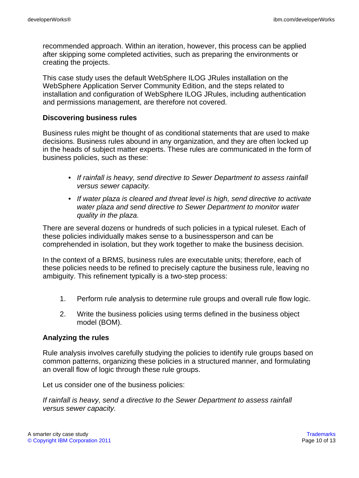recommended approach. Within an iteration, however, this process can be applied after skipping some completed activities, such as preparing the environments or creating the projects.

This case study uses the default WebSphere ILOG JRules installation on the WebSphere Application Server Community Edition, and the steps related to installation and configuration of WebSphere ILOG JRules, including authentication and permissions management, are therefore not covered.

### **Discovering business rules**

Business rules might be thought of as conditional statements that are used to make decisions. Business rules abound in any organization, and they are often locked up in the heads of subject matter experts. These rules are communicated in the form of business policies, such as these:

- If rainfall is heavy, send directive to Sewer Department to assess rainfall versus sewer capacity.
- If water plaza is cleared and threat level is high, send directive to activate water plaza and send directive to Sewer Department to monitor water quality in the plaza.

There are several dozens or hundreds of such policies in a typical ruleset. Each of these policies individually makes sense to a businessperson and can be comprehended in isolation, but they work together to make the business decision.

In the context of a BRMS, business rules are executable units; therefore, each of these policies needs to be refined to precisely capture the business rule, leaving no ambiguity. This refinement typically is a two-step process:

- 1. Perform rule analysis to determine rule groups and overall rule flow logic.
- 2. Write the business policies using terms defined in the business object model (BOM).

### **Analyzing the rules**

Rule analysis involves carefully studying the policies to identify rule groups based on common patterns, organizing these policies in a structured manner, and formulating an overall flow of logic through these rule groups.

Let us consider one of the business policies:

If rainfall is heavy, send a directive to the Sewer Department to assess rainfall versus sewer capacity.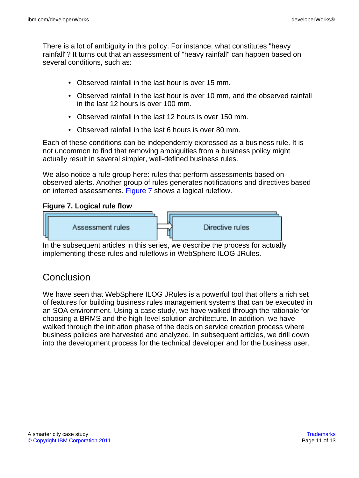There is a lot of ambiguity in this policy. For instance, what constitutes "heavy rainfall"? It turns out that an assessment of "heavy rainfall" can happen based on several conditions, such as:

- Observed rainfall in the last hour is over 15 mm.
- Observed rainfall in the last hour is over 10 mm, and the observed rainfall in the last 12 hours is over 100 mm.
- Observed rainfall in the last 12 hours is over 150 mm.
- Observed rainfall in the last 6 hours is over 80 mm.

Each of these conditions can be independently expressed as a business rule. It is not uncommon to find that removing ambiguities from a business policy might actually result in several simpler, well-defined business rules.

We also notice a rule group here: rules that perform assessments based on observed alerts. Another group of rules generates notifications and directives based on inferred assessments. [Figure 7](#page-10-0) shows a logical ruleflow.

### <span id="page-10-0"></span>**Figure 7. Logical rule flow**



In the subsequent articles in this series, we describe the process for actually implementing these rules and ruleflows in WebSphere ILOG JRules.

### **Conclusion**

We have seen that WebSphere ILOG JRules is a powerful tool that offers a rich set of features for building business rules management systems that can be executed in an SOA environment. Using a case study, we have walked through the rationale for choosing a BRMS and the high-level solution architecture. In addition, we have walked through the initiation phase of the decision service creation process where business policies are harvested and analyzed. In subsequent articles, we drill down into the development process for the technical developer and for the business user.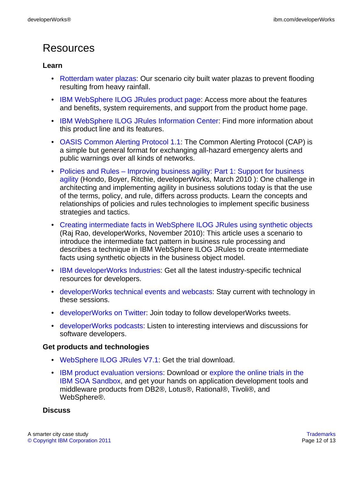## <span id="page-11-0"></span>**Resources**

### **Learn**

- [Rotterdam water plazas:](http://www.rotterdamclimateinitiative.nl/en/100_climate_proof/projects/water_plazas_playgrounds_doubling_as_water_storage?portfolio_id=42) Our scenario city built water plazas to prevent flooding resulting from heavy rainfall.
- [IBM WebSphere ILOG JRules product page:](http://www.ibm.com/software/integration/business-rule-management/jrules/) Access more about the features and benefits, system requirements, and support from the product home page.
- [IBM WebSphere ILOG JRules Information Center:](http://publib.boulder.ibm.com/infocenter/brjrules/v7r1/index.jsp) Find more information about this product line and its features.
- [OASIS Common Alerting Protocol 1.1](#page-0-0): The Common Alerting Protocol (CAP) is a simple but general format for exchanging all-hazard emergency alerts and public warnings over all kinds of networks.
- [Policies and Rules Improving business agility: Part 1: Support for business](http://www.ibm.com/developerworks/webservices/library/ws-policyandrules/index.html) [agility](http://www.ibm.com/developerworks/webservices/library/ws-policyandrules/index.html) (Hondo, Boyer, Ritchie, developerWorks, March 2010 ): One challenge in architecting and implementing agility in business solutions today is that the use of the terms, policy, and rule, differs across products. Learn the concepts and relationships of policies and rules technologies to implement specific business strategies and tactics.
- [Creating intermediate facts in WebSphere ILOG JRules using synthetic objects](http://www.ibm.com/developerworks/websphere/techjournal/1011_rao/1011_rao.html?ca=drs-) (Raj Rao, developerWorks, November 2010): This article uses a scenario to introduce the intermediate fact pattern in business rule processing and describes a technique in IBM WebSphere ILOG JRules to create intermediate facts using synthetic objects in the business object model.
- [IBM developerWorks Industries:](https://www.ibm.com/developerworks/industry/) Get all the latest industry-specific technical resources for developers.
- [developerWorks technical events and webcasts:](http://www.ibm.com/developerworks/offers/techbriefings/) Stay current with technology in these sessions.
- [developerWorks on Twitter:](http://twitter.com/#!/developerworks/) Join today to follow developerWorks tweets.
- [developerWorks podcasts](http://www.ibm.com/developerworks/podcast/): Listen to interesting interviews and discussions for software developers.

### **Get products and technologies**

- [WebSphere ILOG JRules V7.1:](http://www.ibm.com/developerworks/downloads/ws/jrules/) Get the trial download.
- [IBM product evaluation versions:](http://www.ibm.com/developerworks/downloads/) Download or [explore the online trials in the](http://www.ibm.com/developerworks/downloads/soasandbox/) [IBM SOA Sandbox,](http://www.ibm.com/developerworks/downloads/soasandbox/) and get your hands on application development tools and middleware products from DB2®, Lotus®, Rational®, Tivoli®, and WebSphere®.

### **Discuss**